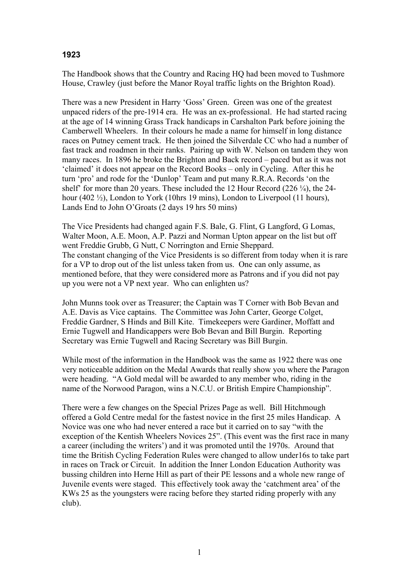## **1923**

The Handbook shows that the Country and Racing HQ had been moved to Tushmore House, Crawley (just before the Manor Royal traffic lights on the Brighton Road).

There was a new President in Harry 'Goss' Green. Green was one of the greatest unpaced riders of the pre-1914 era. He was an ex-professional. He had started racing at the age of 14 winning Grass Track handicaps in Carshalton Park before joining the Camberwell Wheelers. In their colours he made a name for himself in long distance races on Putney cement track. He then joined the Silverdale CC who had a number of fast track and roadmen in their ranks. Pairing up with W. Nelson on tandem they won many races. In 1896 he broke the Brighton and Back record – paced but as it was not 'claimed' it does not appear on the Record Books – only in Cycling. After this he turn 'pro' and rode for the 'Dunlop' Team and put many R.R.A. Records 'on the shelf' for more than 20 years. These included the 12 Hour Record  $(226 \frac{1}{4})$ , the 24hour (402  $\frac{1}{2}$ ), London to York (10hrs 19 mins), London to Liverpool (11 hours), Lands End to John O'Groats (2 days 19 hrs 50 mins)

The Vice Presidents had changed again F.S. Bale, G. Flint, G Langford, G Lomas, Walter Moon, A.E. Moon, A.P. Pazzi and Norman Upton appear on the list but off went Freddie Grubb, G Nutt, C Norrington and Ernie Sheppard. The constant changing of the Vice Presidents is so different from today when it is rare for a VP to drop out of the list unless taken from us. One can only assume, as mentioned before, that they were considered more as Patrons and if you did not pay up you were not a VP next year. Who can enlighten us?

John Munns took over as Treasurer; the Captain was T Corner with Bob Bevan and A.E. Davis as Vice captains. The Committee was John Carter, George Colget, Freddie Gardner, S Hinds and Bill Kite. Timekeepers were Gardiner, Moffatt and Ernie Tugwell and Handicappers were Bob Bevan and Bill Burgin. Reporting Secretary was Ernie Tugwell and Racing Secretary was Bill Burgin.

While most of the information in the Handbook was the same as 1922 there was one very noticeable addition on the Medal Awards that really show you where the Paragon were heading. "A Gold medal will be awarded to any member who, riding in the name of the Norwood Paragon, wins a N.C.U. or British Empire Championship".

There were a few changes on the Special Prizes Page as well. Bill Hitchmough offered a Gold Centre medal for the fastest novice in the first 25 miles Handicap. A Novice was one who had never entered a race but it carried on to say "with the exception of the Kentish Wheelers Novices 25". (This event was the first race in many a career (including the writers') and it was promoted until the 1970s. Around that time the British Cycling Federation Rules were changed to allow under16s to take part in races on Track or Circuit. In addition the Inner London Education Authority was bussing children into Herne Hill as part of their PE lessons and a whole new range of Juvenile events were staged. This effectively took away the 'catchment area' of the KWs 25 as the youngsters were racing before they started riding properly with any club).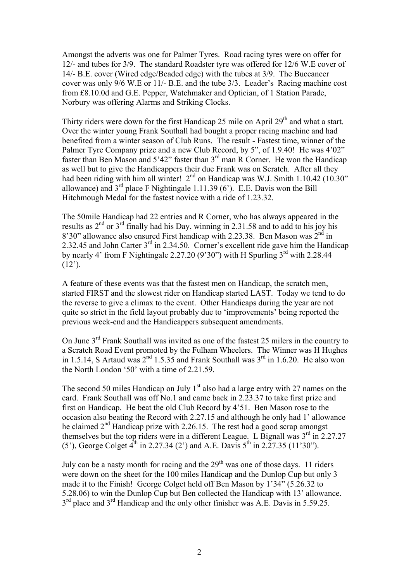Amongst the adverts was one for Palmer Tyres. Road racing tyres were on offer for 12/- and tubes for 3/9. The standard Roadster tyre was offered for 12/6 W.E cover of 14/- B.E. cover (Wired edge/Beaded edge) with the tubes at 3/9. The Buccaneer cover was only 9/6 W.E or 11/- B.E. and the tube 3/3. Leader's Racing machine cost from £8.10.0d and G.E. Pepper, Watchmaker and Optician, of 1 Station Parade, Norbury was offering Alarms and Striking Clocks.

Thirty riders were down for the first Handicap 25 mile on April  $29<sup>th</sup>$  and what a start. Over the winter young Frank Southall had bought a proper racing machine and had benefited from a winter season of Club Runs. The result - Fastest time, winner of the Palmer Tyre Company prize and a new Club Record, by 5", of 1.9.40! He was 4'02" faster than Ben Mason and 5'42" faster than 3rd man R Corner. He won the Handicap as well but to give the Handicappers their due Frank was on Scratch. After all they had been riding with him all winter!  $2<sup>nd</sup>$  on Handicap was W.J. Smith 1.10.42 (10.30" allowance) and  $3<sup>rd</sup>$  place F Nightingale 1.11.39 (6'). E.E. Davis won the Bill Hitchmough Medal for the fastest novice with a ride of 1.23.32.

The 50mile Handicap had 22 entries and R Corner, who has always appeared in the results as  $2^{nd}$  or  $3^{rd}$  finally had his Day, winning in 2.31.58 and to add to his joy his 8'30" allowance also ensured First handicap with 2.23.38. Ben Mason was  $2^{nd}$  in 2.32.45 and John Carter 3<sup>rd</sup> in 2.34.50. Corner's excellent ride gave him the Handicap by nearly 4' from F Nightingale 2.27.20 (9'30") with H Spurling  $3<sup>rd</sup>$  with 2.28.44  $(12')$ .

A feature of these events was that the fastest men on Handicap, the scratch men, started FIRST and the slowest rider on Handicap started LAST. Today we tend to do the reverse to give a climax to the event. Other Handicaps during the year are not quite so strict in the field layout probably due to 'improvements' being reported the previous week-end and the Handicappers subsequent amendments.

On June 3<sup>rd</sup> Frank Southall was invited as one of the fastest 25 milers in the country to a Scratch Road Event promoted by the Fulham Wheelers. The Winner was H Hughes in 1.5.14, S Artaud was  $2^{nd}$  1.5.35 and Frank Southall was  $3^{rd}$  in 1.6.20. He also won the North London '50' with a time of 2.21.59.

The second 50 miles Handicap on July  $1<sup>st</sup>$  also had a large entry with 27 names on the card. Frank Southall was off No.1 and came back in 2.23.37 to take first prize and first on Handicap. He beat the old Club Record by 4'51. Ben Mason rose to the occasion also beating the Record with 2.27.15 and although he only had 1' allowance he claimed  $2<sup>nd</sup>$  Handicap prize with 2.26.15. The rest had a good scrap amongst themselves but the top riders were in a different League. L Bignall was  $3<sup>rd</sup>$  in 2.27.27 (5<sup>2</sup>), George Colget  $4^{th}$  in 2.27.34 (2<sup>2</sup>) and A.E. Davis  $5^{th}$  in 2.27.35 (11<sup>2</sup>30<sup>2</sup>).

July can be a nasty month for racing and the  $29<sup>th</sup>$  was one of those days. 11 riders were down on the sheet for the 100 miles Handicap and the Dunlop Cup but only 3 made it to the Finish! George Colget held off Ben Mason by 1'34" (5.26.32 to 5.28.06) to win the Dunlop Cup but Ben collected the Handicap with 13' allowance. 3<sup>rd</sup> place and 3<sup>rd</sup> Handicap and the only other finisher was A.E. Davis in 5.59.25.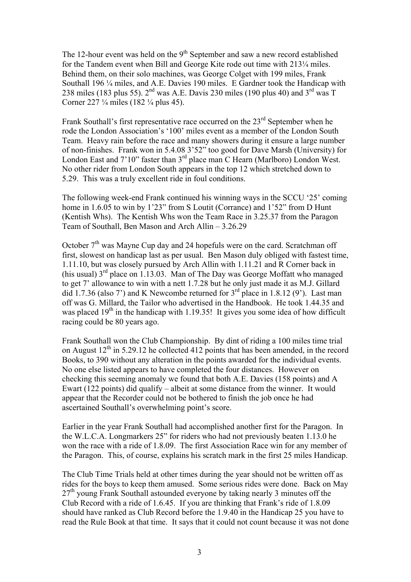The 12-hour event was held on the  $9<sup>th</sup>$  September and saw a new record established for the Tandem event when Bill and George Kite rode out time with 213¼ miles. Behind them, on their solo machines, was George Colget with 199 miles, Frank Southall 196 ¼ miles, and A.E. Davies 190 miles. E Gardner took the Handicap with 238 miles (183 plus 55).  $2<sup>nd</sup>$  was A.E. Davis 230 miles (190 plus 40) and  $3<sup>rd</sup>$  was T Corner 227 ¼ miles (182 ¼ plus 45).

Frank Southall's first representative race occurred on the  $23<sup>rd</sup>$  September when he rode the London Association's '100' miles event as a member of the London South Team. Heavy rain before the race and many showers during it ensure a large number of non-finishes. Frank won in 5.4.08 3'52" too good for Dave Marsh (University) for London East and 7'10" faster than 3<sup>rd</sup> place man C Hearn (Marlboro) London West. No other rider from London South appears in the top 12 which stretched down to 5.29. This was a truly excellent ride in foul conditions.

The following week-end Frank continued his winning ways in the SCCU '25' coming home in 1.6.05 to win by 1'23" from S Loutit (Corrance) and 1'52" from D Hunt (Kentish Whs). The Kentish Whs won the Team Race in 3.25.37 from the Paragon Team of Southall, Ben Mason and Arch Allin – 3.26.29

October  $7<sup>th</sup>$  was Mayne Cup day and 24 hopefuls were on the card. Scratchman off first, slowest on handicap last as per usual. Ben Mason duly obliged with fastest time, 1.11.10, but was closely pursued by Arch Allin with 1.11.21 and R Corner back in (his usual)  $3<sup>rd</sup>$  place on 1.13.03. Man of The Day was George Moffatt who managed to get 7' allowance to win with a nett 1.7.28 but he only just made it as M.J. Gillard did 1.7.36 (also 7') and K Newcombe returned for  $3<sup>rd</sup>$  place in 1.8.12 (9'). Last man off was G. Millard, the Tailor who advertised in the Handbook. He took 1.44.35 and was placed  $19<sup>th</sup>$  in the handicap with 1.19.35! It gives you some idea of how difficult racing could be 80 years ago.

Frank Southall won the Club Championship. By dint of riding a 100 miles time trial on August  $12<sup>th</sup>$  in 5.29.12 he collected 412 points that has been amended, in the record Books, to 390 without any alteration in the points awarded for the individual events. No one else listed appears to have completed the four distances. However on checking this seeming anomaly we found that both A.E. Davies (158 points) and A Ewart (122 points) did qualify – albeit at some distance from the winner. It would appear that the Recorder could not be bothered to finish the job once he had ascertained Southall's overwhelming point's score.

Earlier in the year Frank Southall had accomplished another first for the Paragon. In the W.L.C.A. Longmarkers 25" for riders who had not previously beaten 1.13.0 he won the race with a ride of 1.8.09. The first Association Race win for any member of the Paragon. This, of course, explains his scratch mark in the first 25 miles Handicap.

The Club Time Trials held at other times during the year should not be written off as rides for the boys to keep them amused. Some serious rides were done. Back on May  $27<sup>th</sup>$  young Frank Southall astounded everyone by taking nearly 3 minutes off the Club Record with a ride of 1.6.45. If you are thinking that Frank's ride of 1.8.09 should have ranked as Club Record before the 1.9.40 in the Handicap 25 you have to read the Rule Book at that time. It says that it could not count because it was not done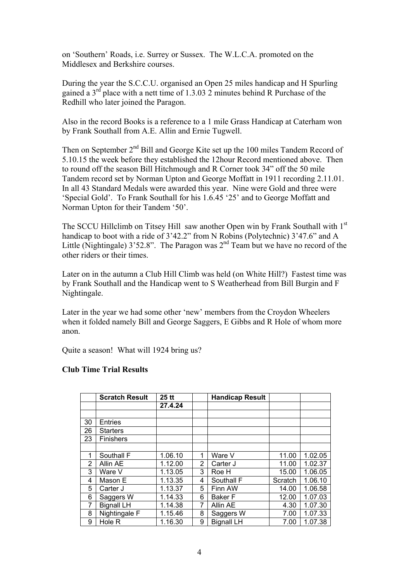on 'Southern' Roads, i.e. Surrey or Sussex. The W.L.C.A. promoted on the Middlesex and Berkshire courses.

During the year the S.C.C.U. organised an Open 25 miles handicap and H Spurling gained a  $3<sup>rd</sup>$  place with a nett time of 1.3.03 2 minutes behind R Purchase of the Redhill who later joined the Paragon.

Also in the record Books is a reference to a 1 mile Grass Handicap at Caterham won by Frank Southall from A.E. Allin and Ernie Tugwell.

Then on September 2<sup>nd</sup> Bill and George Kite set up the 100 miles Tandem Record of 5.10.15 the week before they established the 12hour Record mentioned above. Then to round off the season Bill Hitchmough and R Corner took 34" off the 50 mile Tandem record set by Norman Upton and George Moffatt in 1911 recording 2.11.01. In all 43 Standard Medals were awarded this year. Nine were Gold and three were 'Special Gold'. To Frank Southall for his 1.6.45 '25' and to George Moffatt and Norman Upton for their Tandem '50'.

The SCCU Hillclimb on Titsey Hill saw another Open win by Frank Southall with 1<sup>st</sup> handicap to boot with a ride of 3'42.2" from N Robins (Polytechnic) 3'47.6" and A Little (Nightingale)  $3'52.8''$ . The Paragon was  $2<sup>nd</sup>$  Team but we have no record of the other riders or their times.

Later on in the autumn a Club Hill Climb was held (on White Hill?) Fastest time was by Frank Southall and the Handicap went to S Weatherhead from Bill Burgin and F Nightingale.

Later in the year we had some other 'new' members from the Croydon Wheelers when it folded namely Bill and George Saggers, E Gibbs and R Hole of whom more anon.

Quite a season! What will 1924 bring us?

|    | <b>Scratch Result</b> | 25 tt   |   | <b>Handicap Result</b> |         |         |
|----|-----------------------|---------|---|------------------------|---------|---------|
|    |                       | 27.4.24 |   |                        |         |         |
|    |                       |         |   |                        |         |         |
| 30 | <b>Entries</b>        |         |   |                        |         |         |
| 26 | <b>Starters</b>       |         |   |                        |         |         |
| 23 | <b>Finishers</b>      |         |   |                        |         |         |
|    |                       |         |   |                        |         |         |
| 1  | Southall F            | 1.06.10 | 1 | Ware V                 | 11.00   | 1.02.05 |
| 2  | Allin AE              | 1.12.00 | 2 | Carter J               | 11.00   | 1.02.37 |
| 3  | Ware V                | 1.13.05 | 3 | Roe H                  | 15.00   | 1.06.05 |
| 4  | Mason E               | 1.13.35 | 4 | Southall F             | Scratch | 1.06.10 |
| 5  | Carter J              | 1.13.37 | 5 | Finn AW                | 14.00   | 1.06.58 |
| 6  | Saggers W             | 1.14.33 | 6 | Baker F                | 12.00   | 1.07.03 |
| 7  | <b>Bignall LH</b>     | 1.14.38 | 7 | Allin AE               | 4.30    | 1.07.30 |
| 8  | Nightingale F         | 1.15.46 | 8 | Saggers W              | 7.00    | 1.07.33 |
| 9  | Hole R                | 1.16.30 | 9 | <b>Bignall LH</b>      | 7.00    | 1.07.38 |

## **Club Time Trial Results**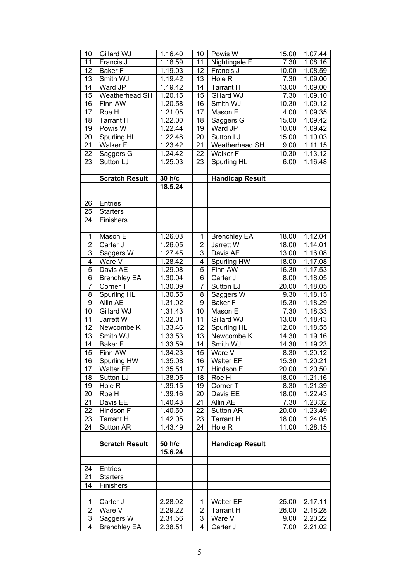| 10                  | Gillard WJ                       | 1.16.40            | 10              | Powis W                | 15.00        | $1.07.\overline{44}$ |
|---------------------|----------------------------------|--------------------|-----------------|------------------------|--------------|----------------------|
| 11                  | Francis J                        | 1.18.59            | 11              | Nightingale F          | 7.30         | 1.08.16              |
| 12                  | <b>Baker F</b>                   | 1.19.03            | 12              | Francis J              | 10.00        | 1.08.59              |
| 13                  | Smith WJ                         | 1.19.42            | 13              | Hole R                 | 7.30         | 1.09.00              |
| 14                  | Ward JP                          | 1.19.42            | 14              | <b>Tarrant H</b>       | 13.00        | 1.09.00              |
| 15                  | Weatherhead SH                   | 1.20.15            | 15              | Gillard WJ             | 7.30         | 1.09.10              |
| 16                  | Finn AW                          | 1.20.58            | 16              | Smith WJ               | 10.30        | 1.09.12              |
| 17                  | Roe H                            | 1.21.05            | 17              | Mason E                | 4.00         | 1.09.35              |
| 18                  | <b>Tarrant H</b>                 | 1.22.00            | 18              | Saggers G              | 15.00        | 1.09.42              |
| 19                  | Powis $\overline{W}$             | 1.22.44            | 19              | Ward JP                | 10.00        | 1.09.42              |
| 20                  | <b>Spurling HL</b>               | 1.22.48            | $\overline{20}$ | Sutton LJ              | 15.00        | 1.10.03              |
| 21                  | <b>Walker F</b>                  | 1.23.42            | 21              | Weatherhead SH         | 9.00         | 1.11.15              |
| 22                  | Saggers G                        | 1.24.42            | 22              | <b>Walker F</b>        | 10.30        | 1.13.12              |
| 23                  | Sutton LJ                        | 1.25.03            | 23              | Spurling HL            | 6.00         | 1.16.48              |
|                     |                                  |                    |                 |                        |              |                      |
|                     | <b>Scratch Result</b>            | 30 h/c             |                 | <b>Handicap Result</b> |              |                      |
|                     |                                  | 18.5.24            |                 |                        |              |                      |
|                     |                                  |                    |                 |                        |              |                      |
| 26                  | Entries                          |                    |                 |                        |              |                      |
| 25                  | <b>Starters</b>                  |                    |                 |                        |              |                      |
| 24                  | Finishers                        |                    |                 |                        |              |                      |
|                     |                                  |                    |                 |                        |              |                      |
| 1                   | Mason E                          | 1.26.03            | 1               | <b>Brenchley EA</b>    | 18.00        | 1.12.04              |
| $\overline{2}$      | Carter J                         | 1.26.05            | $\overline{2}$  | Jarrett W              | 18.00        | 1.14.01              |
| 3                   | Saggers W                        | 1.27.45            | 3               | Davis AE               | 13.00        | 1.16.08              |
| $\overline{4}$      | Ware V                           | 1.28.42            | $\overline{4}$  | Spurling HW            | 18.00        | 1.17.08              |
| $\overline{5}$      | Davis AE                         | 1.29.08            | 5               | Finn AW                | 16.30        | 1.17.53              |
| $\overline{6}$      | <b>Brenchley EA</b>              | 1.30.04            | 6               | Carter J               | 8.00         | 1.18.05              |
| $\overline{7}$      | Corner T                         | 1.30.09            | 7               | Sutton LJ              | 20.00        | 1.18.05              |
| $\overline{8}$      | Spurling HL                      | 1.30.55            | 8               | Saggers W              | 9.30         | 1.18.15              |
| $\overline{9}$      | Allin AE                         | 1.31.02            | 9               | <b>Baker F</b>         | 15.30        | 1.18.29              |
| $\overline{10}$     | Gillard WJ                       | 1.31.43            | 10              | Mason E                | 7.30         | 1.18.33              |
| 11                  | Jarrett W                        | 1.32.01            | $\overline{11}$ | Gillard WJ             | 13.00        | 1.18.43              |
| 12                  | Newcombe K                       | 1.33.46            | 12              | Spurling HL            | 12.00        | 1.18.55              |
| 13                  | Smith WJ                         | 1.33.53            | 13              | Newcombe K             | 14.30        | 1.19.16              |
| $\overline{14}$     | <b>Baker</b> F                   | 1.33.59            | 14              | Smith WJ               | 14.30        | 1.19.23              |
| 15                  | Finn AW                          | 1.34.23            | 15              | Ware V                 | 8.30         | 1.20.12              |
| 16                  | Spurling HW                      | 1.35.08            | 16              | <b>Walter EF</b>       | 15.30        | 1.20.21              |
| 17                  | <b>Walter EF</b>                 | 1.35.51            | 17              | Hindson F              | 20.00        | 1.20.50              |
| 18                  | Sutton LJ                        | 1.38.05            | 18              | Roe H                  | 18.00        | 1.21.16              |
| 19                  | Hole R                           | 1.39.15            | 19              | Corner T               | 8.30         | 1.21.39              |
| 20                  |                                  |                    |                 |                        |              |                      |
|                     |                                  |                    |                 |                        |              |                      |
|                     | Roe H                            | 1.39.16            | 20              | Davis EE               | 18.00        | 1.22.43              |
| 21                  | Davis EE                         | 1.40.43            | 21              | Allin AE               | 7.30         | 1.23.32              |
| 22                  | Hindson F                        | 1.40.50            | 22              | Sutton AR              | 20.00        | 1.23.49              |
| 23                  | <b>Tarrant H</b>                 | 1.42.05            | 23              | Tarrant H              | 18.00        | 1.24.05              |
| 24                  | Sutton AR                        | 1.43.49            | 24              | Hole R                 | 11.00        | 1.28.15              |
|                     | <b>Scratch Result</b>            |                    |                 |                        |              |                      |
|                     |                                  | 50 h/c             |                 | <b>Handicap Result</b> |              |                      |
|                     |                                  | 15.6.24            |                 |                        |              |                      |
|                     |                                  |                    |                 |                        |              |                      |
| 24                  | Entries                          |                    |                 |                        |              |                      |
| 21                  | <b>Starters</b>                  |                    |                 |                        |              |                      |
| 14                  | Finishers                        |                    |                 |                        |              |                      |
|                     |                                  |                    |                 |                        |              |                      |
| 1                   | Carter J                         | 2.28.02            | 1               | <b>Walter EF</b>       | 25.00        | 2.17.11              |
| $\overline{2}$      | Ware V                           | 2.29.22            | 2               | Tarrant H              | 26.00        | 2.18.28              |
| 3<br>$\overline{4}$ | Saggers W<br><b>Brenchley EA</b> | 2.31.56<br>2.38.51 | 3<br>4          | Ware V<br>Carter J     | 9.00<br>7.00 | 2.20.22<br>2.21.02   |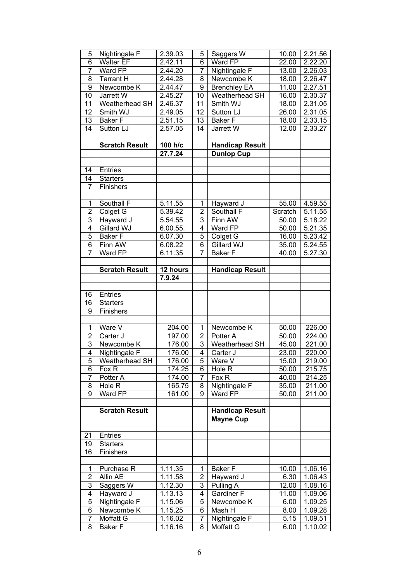| 5              | Nightingale F         | 2.39.03              | 5              | Saggers W              | 10.00              | 2.21.56 |
|----------------|-----------------------|----------------------|----------------|------------------------|--------------------|---------|
| 6              | <b>Walter EF</b>      | 2.42.11              | 6              | Ward FP                | 22.00              | 2.22.20 |
| 7              | Ward FP               | 2.44.20              | 7              | Nightingale F          | 13.00              | 2.26.03 |
| 8              | <b>Tarrant H</b>      | 2.44.28              | 8              | Newcombe K             | 18.00              | 2.26.47 |
| 9              | Newcombe K            | 2.44.47              | 9              | <b>Brenchley EA</b>    | 11.00              | 2.27.51 |
| 10             | Jarrett W             | 2.45.27              | 10             | Weatherhead SH         | 16.00              | 2.30.37 |
| 11             | Weatherhead SH        | 2.46.37              | 11             | Smith WJ               | 18.00              | 2.31.05 |
| 12             | Smith WJ              | 2.49.05              | 12             | Sutton LJ              | 26.00              | 2.31.05 |
| 13             | <b>Baker F</b>        | 2.51.15              | 13             | <b>Baker F</b>         | 18.00              | 2.33.15 |
| 14             | Sutton LJ             | 2.57.05              | 14             | Jarrett W              | $\overline{12.00}$ | 2.33.27 |
|                |                       |                      |                |                        |                    |         |
|                | <b>Scratch Result</b> | 100 h/c              |                | <b>Handicap Result</b> |                    |         |
|                |                       | 27.7.24              |                | <b>Dunlop Cup</b>      |                    |         |
|                |                       |                      |                |                        |                    |         |
| 14             | Entries               |                      |                |                        |                    |         |
| 14             | <b>Starters</b>       |                      |                |                        |                    |         |
| 7              | Finishers             |                      |                |                        |                    |         |
|                |                       |                      |                |                        |                    |         |
| 1              |                       | $5.11.\overline{55}$ |                |                        |                    |         |
| $\overline{2}$ | Southall F            |                      | 1              | Hayward J              | 55.00              | 4.59.55 |
|                | Colget G              | 5.39.42              | $\overline{2}$ | Southall F             | Scratch            | 5.11.55 |
| 3              | Hayward J             | 5.54.55              | 3              | Finn AW                | 50.00              | 5.18.22 |
| $\overline{4}$ | Gillard WJ            | 6.00.55.             | 4              | Ward FP                | 50.00              | 5.21.35 |
| 5              | <b>Baker F</b>        | 6.07.30              | 5              | Colget G               | 16.00              | 5.23.42 |
| 6              | Finn AW               | 6.08.22              | 6              | Gillard WJ             | 35.00              | 5.24.55 |
| 7              | Ward FP               | 6.11.35              | 7              | <b>Baker F</b>         | 40.00              | 5.27.30 |
|                |                       |                      |                |                        |                    |         |
|                | <b>Scratch Result</b> | 12 hours             |                | <b>Handicap Result</b> |                    |         |
|                |                       | 7.9.24               |                |                        |                    |         |
|                |                       |                      |                |                        |                    |         |
| 16             | Entries               |                      |                |                        |                    |         |
| 16             | <b>Starters</b>       |                      |                |                        |                    |         |
| 9              | Finishers             |                      |                |                        |                    |         |
|                |                       |                      |                |                        |                    |         |
| 1              | Ware V                | 204.00               | 1              | Newcombe K             | 50.00              | 226.00  |
| $\overline{2}$ | Carter J              | 197.00               | $\overline{2}$ | Potter A               | 50.00              | 224.00  |
| 3              | Newcombe K            | 176.00               | 3              | Weatherhead SH         | 45.00              | 221.00  |
| $\overline{4}$ | Nightingale F         | 176.00               | 4              | Carter J               | 23.00              | 220.00  |
| 5              | Weatherhead SH        | 176.00               | 5              | Ware V                 | 15.00              | 219.00  |
| 6              | Fox R                 | 174.25               | 6              | Hole R                 | 50.00              | 215.75  |
| 7              | Potter A              | 174.00               | 7              | Fox R                  | 40.00              | 214.25  |
| 8              | Hole R                | 165.75               | 8              | Nightingale F          | 35.00              | 211.00  |
| 9              | Ward FP               | 161.00               | 9              | Ward FP                | 50.00              | 211.00  |
|                |                       |                      |                |                        |                    |         |
|                | <b>Scratch Result</b> |                      |                | <b>Handicap Result</b> |                    |         |
|                |                       |                      |                | <b>Mayne Cup</b>       |                    |         |
|                |                       |                      |                |                        |                    |         |
| 21             | <b>Entries</b>        |                      |                |                        |                    |         |
| 19             | <b>Starters</b>       |                      |                |                        |                    |         |
| 16             | Finishers             |                      |                |                        |                    |         |
|                |                       |                      |                |                        |                    |         |
| 1              | Purchase R            | 1.11.35              | 1              | <b>Baker F</b>         | 10.00              | 1.06.16 |
| $\overline{2}$ | Allin AE              |                      |                |                        |                    |         |
|                |                       | $1.11.\overline{58}$ | 2              | Hayward J              | 6.30               | 1.06.43 |
| 3              | Saggers W             | 1.12.30              | 3              | Pulling A              | 12.00              | 1.08.16 |
| 4              | Hayward J             | 1.13.13              | 4              | <b>Gardiner F</b>      | 11.00              | 1.09.06 |
| 5              | Nightingale F         | 1.15.06              | 5              | Newcombe K             | 6.00               | 1.09.25 |
| 6              | Newcombe K            | 1.15.25              | 6              | Mash H                 | 8.00               | 1.09.28 |
| 7              | Moffatt G             | 1.16.02              | 7              | Nightingale F          | 5.15               | 1.09.51 |
| 8              | <b>Baker F</b>        | 1.16.16              | 8              | Moffatt G              | 6.00               | 1.10.02 |